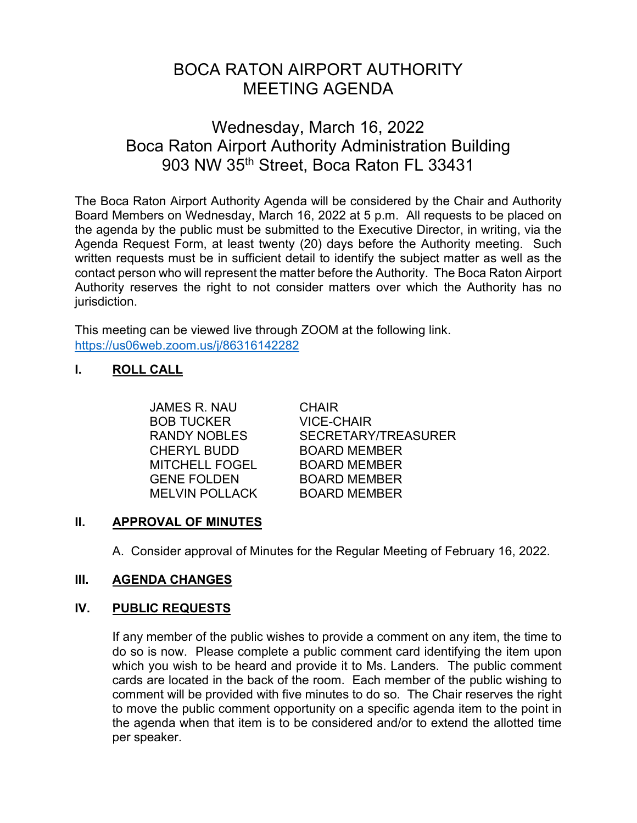# BOCA RATON AIRPORT AUTHORITY MEETING AGENDA

# Wednesday, March 16, 2022 Boca Raton Airport Authority Administration Building 903 NW 35<sup>th</sup> Street, Boca Raton FL 33431

The Boca Raton Airport Authority Agenda will be considered by the Chair and Authority Board Members on Wednesday, March 16, 2022 at 5 p.m. All requests to be placed on the agenda by the public must be submitted to the Executive Director, in writing, via the Agenda Request Form, at least twenty (20) days before the Authority meeting. Such written requests must be in sufficient detail to identify the subject matter as well as the contact person who will represent the matter before the Authority. The Boca Raton Airport Authority reserves the right to not consider matters over which the Authority has no jurisdiction.

This meeting can be viewed live through ZOOM at the following link. <https://us06web.zoom.us/j/86316142282>

# **I. ROLL CALL**

JAMES R. NAU CHAIR BOB TUCKER VICE-CHAIR CHERYL BUDD BOARD MEMBER MITCHELL FOGEL BOARD MEMBER GENE FOLDEN BOARD MEMBER MELVIN POLLACK BOARD MEMBER

RANDY NOBLES SECRETARY/TREASURER

# **II. APPROVAL OF MINUTES**

A. Consider approval of Minutes for the Regular Meeting of February 16, 2022.

# **III. AGENDA CHANGES**

# **IV. PUBLIC REQUESTS**

If any member of the public wishes to provide a comment on any item, the time to do so is now. Please complete a public comment card identifying the item upon which you wish to be heard and provide it to Ms. Landers. The public comment cards are located in the back of the room. Each member of the public wishing to comment will be provided with five minutes to do so. The Chair reserves the right to move the public comment opportunity on a specific agenda item to the point in the agenda when that item is to be considered and/or to extend the allotted time per speaker.